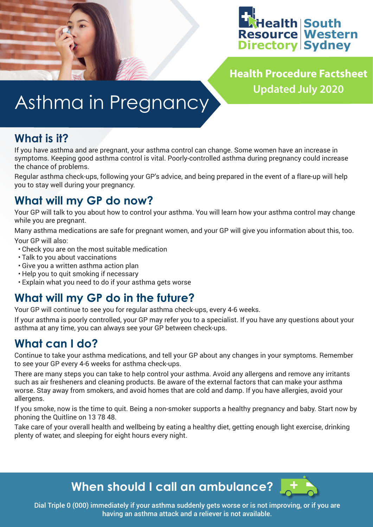

**Health Procedure Factsheet Updated July 2020**

# Asthma in Pregnancy

## **What is it?**

If you have asthma and are pregnant, your asthma control can change. Some women have an increase in symptoms. Keeping good asthma control is vital. Poorly-controlled asthma during pregnancy could increase the chance of problems.

Regular asthma check-ups, following your GP's advice, and being prepared in the event of a flare-up will help you to stay well during your pregnancy.

## **What will my GP do now?**

Your GP will talk to you about how to control your asthma. You will learn how your asthma control may change while you are pregnant.

Many asthma medications are safe for pregnant women, and your GP will give you information about this, too. Your GP will also:

- Check you are on the most suitable medication
- Talk to you about vaccinations
- Give you a written asthma action plan
- Help you to quit smoking if necessary
- Explain what you need to do if your asthma gets worse

## **What will my GP do in the future?**

Your GP will continue to see you for regular asthma check-ups, every 4-6 weeks.

If your asthma is poorly controlled, your GP may refer you to a specialist. If you have any questions about your asthma at any time, you can always see your GP between check-ups.

## **What can I do?**

Continue to take your asthma medications, and tell your GP about any changes in your symptoms. Remember to see your GP every 4-6 weeks for asthma check-ups.

There are many steps you can take to help control your asthma. Avoid any allergens and remove any irritants such as air fresheners and cleaning products. Be aware of the external factors that can make your asthma worse. Stay away from smokers, and avoid homes that are cold and damp. If you have allergies, avoid your allergens.

If you smoke, now is the time to quit. Being a non-smoker supports a healthy pregnancy and baby. Start now by phoning the Quitline on 13 78 48.

Take care of your overall health and wellbeing by eating a healthy diet, getting enough light exercise, drinking plenty of water, and sleeping for eight hours every night.



Dial Triple 0 (000) immediately if your asthma suddenly gets worse or is not improving, or if you are having an asthma attack and a reliever is not available.